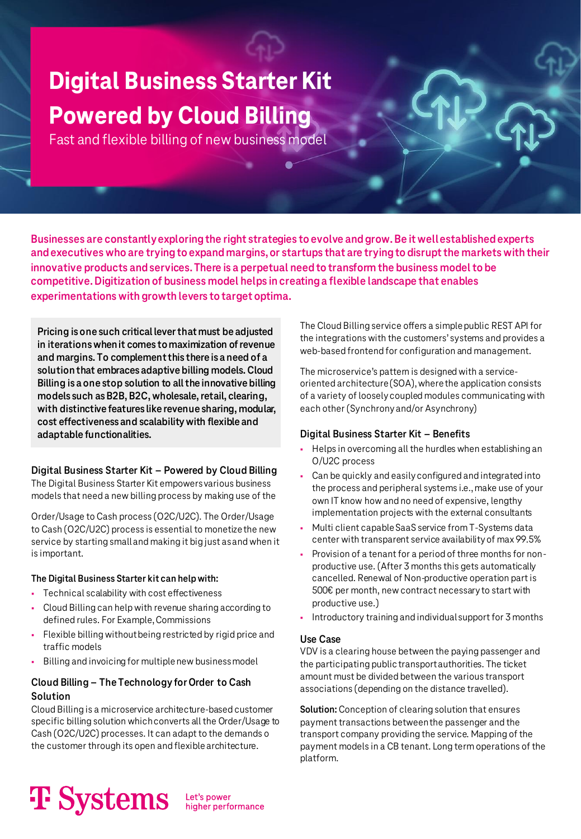### **Digital Business Starter Kit Powered by Cloud Billing**

Fast and flexible billing of new business model

**Businesses are constantly exploring the right strategies to evolve and grow. Be it well established experts and executives who are trying to expand margins, or startups that are trying to disrupt the markets with their innovative products and services. There is a perpetual need to transform the business model to be competitive. Digitization of business model helps in creating a flexible landscape that enables experimentations with growth levers to target optima.**

**Pricing is one such critical lever that must be adjusted in iterations when it comes to maximization of revenue and margins. To complement this there is a need of a solution that embraces adaptive billing models. Cloud Billing is a one stop solution to all the innovative billing models such as B2B, B2C, wholesale, retail, clearing, with distinctive features like revenue sharing, modular, cost effectiveness and scalability with flexible and adaptable functionalities.**

### **Digital Business Starter Kit – Powered by Cloud Billing**

The Digital Business Starter Kit empowers various business models that need a new billing process by making use of the

Order/Usage to Cash process (O2C/U2C). The Order/Usage to Cash (O2C/U2C) process is essential to monetize the new service by starting small and making it big just as and when it is important.

### **The Digital Business Starter kit can help with:**

- Technical scalability with cost effectiveness
- Cloud Billing can help with revenue sharing according to defined rules. For Example, Commissions
- Flexible billing without being restricted by rigid price and traffic models
- Billing and invoicing for multiple new business model

### **Cloud Billing – The Technology for Order to Cash Solution**

Cloud Billing is a microservice architecture-based customer specific billing solution which converts all the Order/Usage to Cash (O2C/U2C) processes. It can adapt to the demands o the customer through its open and flexible architecture.

### The Cloud Billing service offers a simple public REST API for the integrations with the customers' systems and provides a web-based frontend for configuration and management.

The microservice's pattern is designed with a serviceoriented architecture (SOA), where the application consists of a variety of loosely coupled modules communicating with each other (Synchrony and/or Asynchrony)

### **Digital Business Starter Kit – Benefits**

- Helps in overcoming all the hurdles when establishing an O/U2C process
- Can be quickly and easily configured and integrated into the process and peripheral systems i.e., make use of your own IT know how and no need of expensive, lengthy implementation projects with the external consultants
- Multi client capable SaaS service from T-Systems data center with transparent service availability of max 99.5%
- Provision of a tenant for a period of three months for nonproductive use. (After 3 months this gets automatically cancelled. Renewal of Non-productive operation part is 500€ per month, new contract necessary to start with productive use.)
- Introductory training and individual support for 3 months

### **Use Case**

VDV is a clearing house between the paying passenger and the participating public transport authorities. The ticket amount must be divided between the various transport associations (depending on the distance travelled).

**Solution:** Conception of clearing solution that ensures payment transactions between the passenger and the transport company providing the service. Mapping of the payment models in a CB tenant. Long term operations of the platform.

# **T** Systems

higher performance